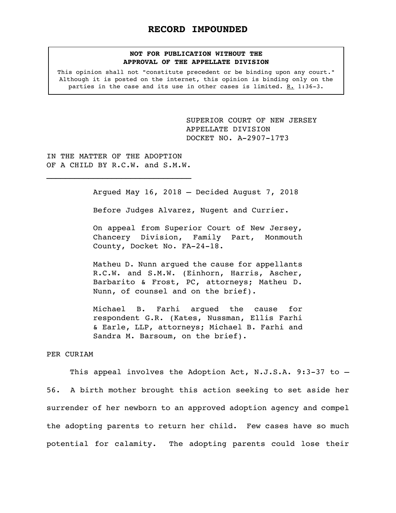# **NOT FOR PUBLICATION WITHOUT THE APPROVAL OF THE APPELLATE DIVISION**

This opinion shall not "constitute precedent or be binding upon any court." Although it is posted on the internet, this opinion is binding only on the parties in the case and its use in other cases is limited. R. 1:36-3.

> <span id="page-0-0"></span>SUPERIOR COURT OF NEW JERSEY APPELLATE DIVISION DOCKET NO. A-2907-17T3

IN THE MATTER OF THE ADOPTION OF A CHILD BY R.C.W. and S.M.W.

 $\mathcal{L}_\text{max}$ 

Argued May 16, 2018 – Decided August 7, 2018

Before Judges Alvarez, Nugent and Currier.

On appeal from Superior Court of New Jersey, Chancery Division, Family Part, Monmouth County, Docket No. FA-24-18.

Matheu D. Nunn argued the cause for appellants R.C.W. and S.M.W. (Einhorn, Harris, Ascher, Barbarito & Frost, PC, attorneys; Matheu D. Nunn, of counsel and on the brief).

Michael B. Farhi argued the cause for respondent G.R. (Kates, Nussman, Ellis Farhi & Earle, LLP, attorneys; Michael B. Farhi and Sandra M. Barsoum, on the brief).

#### PER CURIAM

This appeal involves the Adoption Act, N.J.S.A. 9:3-37 to  $-$ 56. A birth mother brought this action seeking to set aside her surrender of her newborn to an approved adoption agency and compel the adopting parents to return her child. Few cases have so much potential for calamity. The adopting parents could lose their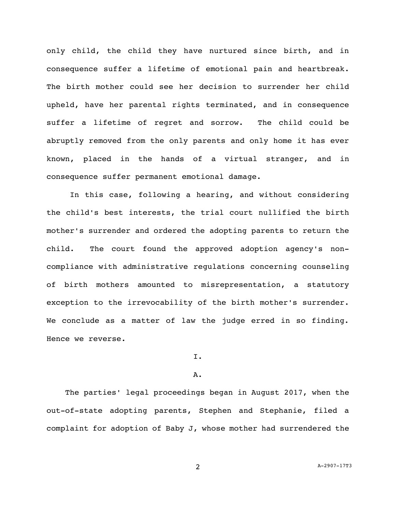only child, the child they have nurtured since birth, and in consequence suffer a lifetime of emotional pain and heartbreak. The birth mother could see her decision to surrender her child upheld, have her parental rights terminated, and in consequence suffer a lifetime of regret and sorrow. The child could be abruptly removed from the only parents and only home it has ever known, placed in the hands of a virtual stranger, and in consequence suffer permanent emotional damage.

In this case, following a hearing, and without considering the child's best interests, the trial court nullified the birth mother's surrender and ordered the adopting parents to return the child. The court found the approved adoption agency's noncompliance with administrative regulations concerning counseling of birth mothers amounted to misrepresentation, a statutory exception to the irrevocability of the birth mother's surrender. We conclude as a matter of law the judge erred in so finding. Hence we reverse.

# I.

## A.

 The parties' legal proceedings began in August 2017, when the out-of-state adopting parents, Stephen and Stephanie, filed a complaint for adoption of Baby J, whose mother had surrendered the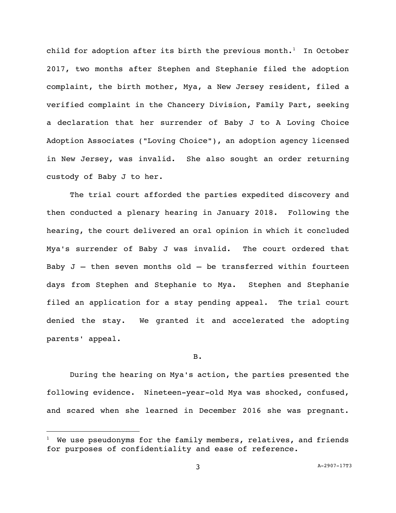child for adoption after its birth the previous month.<sup>1</sup> In October 2017, two months after Stephen and Stephanie filed the adoption complaint, the birth mother, Mya, a New Jersey resident, filed a verified complaint in the Chancery Division, Family Part, seeking a declaration that her surrender of Baby J to A Loving Choice Adoption Associates ("Loving Choice"), an adoption agency licensed in New Jersey, was invalid. She also sought an order returning custody of Baby J to her.

The trial court afforded the parties expedited discovery and then conducted a plenary hearing in January 2018. Following the hearing, the court delivered an oral opinion in which it concluded Mya's surrender of Baby J was invalid. The court ordered that Baby  $J$  – then seven months old – be transferred within fourteen days from Stephen and Stephanie to Mya. Stephen and Stephanie filed an application for a stay pending appeal. The trial court denied the stay. We granted it and accelerated the adopting parents' appeal.

## B.

During the hearing on Mya's action, the parties presented the following evidence. Nineteen-year-old Mya was shocked, confused, and scared when she learned in December 2016 she was pregnant.

i<br>L

 $1$  We use pseudonyms for the family members, relatives, and friends for purposes of confidentiality and ease of reference.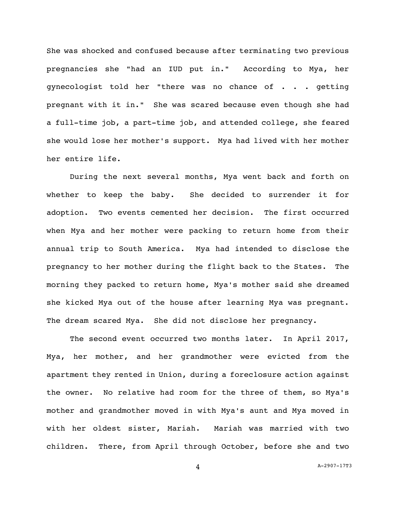She was shocked and confused because after terminating two previous pregnancies she "had an IUD put in." According to Mya, her gynecologist told her "there was no chance of . . . getting pregnant with it in." She was scared because even though she had a full-time job, a part-time job, and attended college, she feared she would lose her mother's support. Mya had lived with her mother her entire life.

During the next several months, Mya went back and forth on whether to keep the baby. She decided to surrender it for adoption. Two events cemented her decision. The first occurred when Mya and her mother were packing to return home from their annual trip to South America. Mya had intended to disclose the pregnancy to her mother during the flight back to the States. The morning they packed to return home, Mya's mother said she dreamed she kicked Mya out of the house after learning Mya was pregnant. The dream scared Mya. She did not disclose her pregnancy.

The second event occurred two months later. In April 2017, Mya, her mother, and her grandmother were evicted from the apartment they rented in Union, during a foreclosure action against the owner. No relative had room for the three of them, so Mya's mother and grandmother moved in with Mya's aunt and Mya moved in with her oldest sister, Mariah. Mariah was married with two children. There, from April through October, before she and two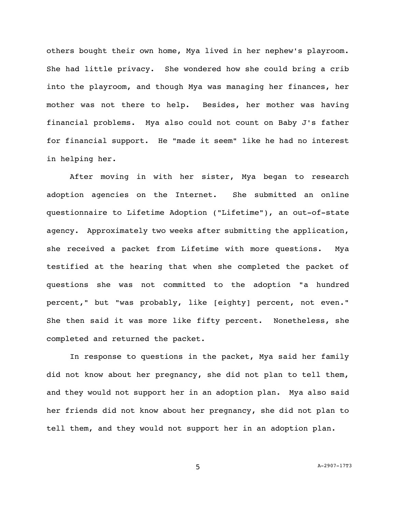others bought their own home, Mya lived in her nephew's playroom. She had little privacy. She wondered how she could bring a crib into the playroom, and though Mya was managing her finances, her mother was not there to help. Besides, her mother was having financial problems. Mya also could not count on Baby J's father for financial support. He "made it seem" like he had no interest in helping her.

After moving in with her sister, Mya began to research adoption agencies on the Internet. She submitted an online questionnaire to Lifetime Adoption ("Lifetime"), an out-of-state agency. Approximately two weeks after submitting the application, she received a packet from Lifetime with more questions. Mya testified at the hearing that when she completed the packet of questions she was not committed to the adoption "a hundred percent," but "was probably, like [eighty] percent, not even." She then said it was more like fifty percent. Nonetheless, she completed and returned the packet.

In response to questions in the packet, Mya said her family did not know about her pregnancy, she did not plan to tell them, and they would not support her in an adoption plan. Mya also said her friends did not know about her pregnancy, she did not plan to tell them, and they would not support her in an adoption plan.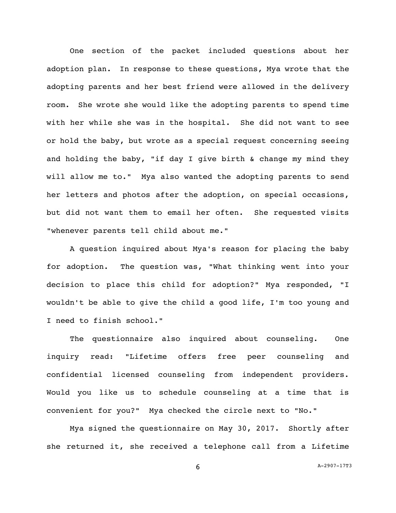One section of the packet included questions about her adoption plan. In response to these questions, Mya wrote that the adopting parents and her best friend were allowed in the delivery room. She wrote she would like the adopting parents to spend time with her while she was in the hospital. She did not want to see or hold the baby, but wrote as a special request concerning seeing and holding the baby, "if day I give birth & change my mind they will allow me to." Mya also wanted the adopting parents to send her letters and photos after the adoption, on special occasions, but did not want them to email her often. She requested visits "whenever parents tell child about me."

A question inquired about Mya's reason for placing the baby for adoption. The question was, "What thinking went into your decision to place this child for adoption?" Mya responded, "I wouldn't be able to give the child a good life, I'm too young and I need to finish school."

The questionnaire also inquired about counseling. One inquiry read: "Lifetime offers free peer counseling and confidential licensed counseling from independent providers. Would you like us to schedule counseling at a time that is convenient for you?" Mya checked the circle next to "No."

Mya signed the questionnaire on May 30, 2017. Shortly after she returned it, she received a telephone call from a Lifetime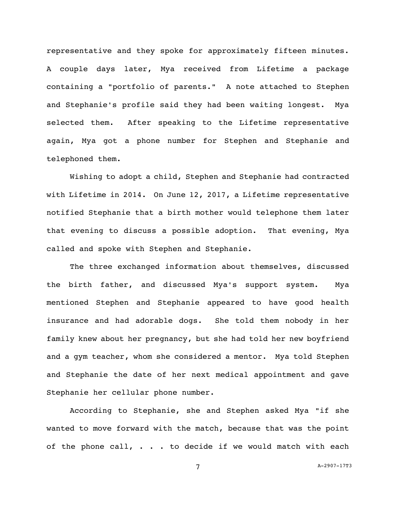representative and they spoke for approximately fifteen minutes. A couple days later, Mya received from Lifetime a package containing a "portfolio of parents." A note attached to Stephen and Stephanie's profile said they had been waiting longest. Mya selected them. After speaking to the Lifetime representative again, Mya got a phone number for Stephen and Stephanie and telephoned them.

Wishing to adopt a child, Stephen and Stephanie had contracted with Lifetime in 2014. On June 12, 2017, a Lifetime representative notified Stephanie that a birth mother would telephone them later that evening to discuss a possible adoption. That evening, Mya called and spoke with Stephen and Stephanie.

The three exchanged information about themselves, discussed the birth father, and discussed Mya's support system. Mya mentioned Stephen and Stephanie appeared to have good health insurance and had adorable dogs. She told them nobody in her family knew about her pregnancy, but she had told her new boyfriend and a gym teacher, whom she considered a mentor. Mya told Stephen and Stephanie the date of her next medical appointment and gave Stephanie her cellular phone number.

According to Stephanie, she and Stephen asked Mya "if she wanted to move forward with the match, because that was the point of the phone call,  $\cdots$  . to decide if we would match with each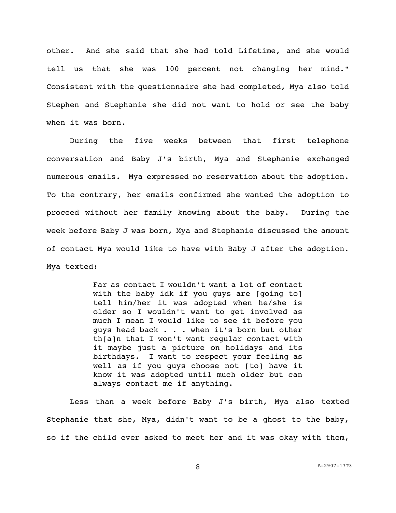other. And she said that she had told Lifetime, and she would tell us that she was 100 percent not changing her mind." Consistent with the questionnaire she had completed, Mya also told Stephen and Stephanie she did not want to hold or see the baby when it was born.

During the five weeks between that first telephone conversation and Baby J's birth, Mya and Stephanie exchanged numerous emails. Mya expressed no reservation about the adoption. To the contrary, her emails confirmed she wanted the adoption to proceed without her family knowing about the baby. During the week before Baby J was born, Mya and Stephanie discussed the amount of contact Mya would like to have with Baby J after the adoption. Mya texted:

> Far as contact I wouldn't want a lot of contact with the baby idk if you guys are [going to] tell him/her it was adopted when he/she is older so I wouldn't want to get involved as much I mean I would like to see it before you guys head back . . . when it's born but other th[a]n that I won't want regular contact with it maybe just a picture on holidays and its birthdays. I want to respect your feeling as well as if you guys choose not [to] have it know it was adopted until much older but can always contact me if anything.

Less than a week before Baby J's birth, Mya also texted Stephanie that she, Mya, didn't want to be a ghost to the baby, so if the child ever asked to meet her and it was okay with them,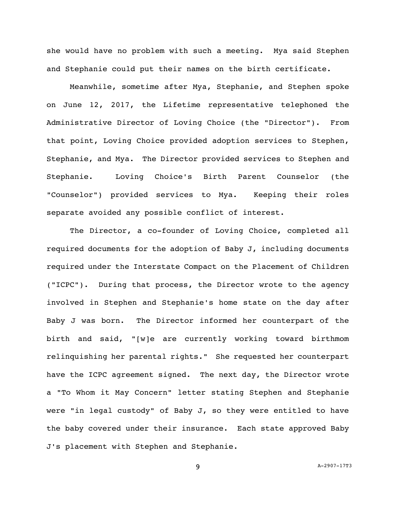she would have no problem with such a meeting. Mya said Stephen and Stephanie could put their names on the birth certificate.

Meanwhile, sometime after Mya, Stephanie, and Stephen spoke on June 12, 2017, the Lifetime representative telephoned the Administrative Director of Loving Choice (the "Director"). From that point, Loving Choice provided adoption services to Stephen, Stephanie, and Mya. The Director provided services to Stephen and Stephanie. Loving Choice's Birth Parent Counselor (the "Counselor") provided services to Mya. Keeping their roles separate avoided any possible conflict of interest.

The Director, a co-founder of Loving Choice, completed all required documents for the adoption of Baby J, including documents required under the Interstate Compact on the Placement of Children ("ICPC"). During that process, the Director wrote to the agency involved in Stephen and Stephanie's home state on the day after Baby J was born. The Director informed her counterpart of the birth and said, "[w]e are currently working toward birthmom relinquishing her parental rights." She requested her counterpart have the ICPC agreement signed. The next day, the Director wrote a "To Whom it May Concern" letter stating Stephen and Stephanie were "in legal custody" of Baby J, so they were entitled to have the baby covered under their insurance. Each state approved Baby J's placement with Stephen and Stephanie.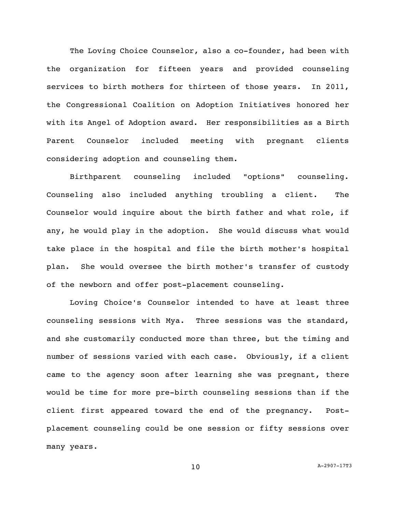The Loving Choice Counselor, also a co-founder, had been with the organization for fifteen years and provided counseling services to birth mothers for thirteen of those years. In 2011, the Congressional Coalition on Adoption Initiatives honored her with its Angel of Adoption award. Her responsibilities as a Birth Parent Counselor included meeting with pregnant clients considering adoption and counseling them.

Birthparent counseling included "options" counseling. Counseling also included anything troubling a client. The Counselor would inquire about the birth father and what role, if any, he would play in the adoption. She would discuss what would take place in the hospital and file the birth mother's hospital plan. She would oversee the birth mother's transfer of custody of the newborn and offer post-placement counseling.

Loving Choice's Counselor intended to have at least three counseling sessions with Mya. Three sessions was the standard, and she customarily conducted more than three, but the timing and number of sessions varied with each case. Obviously, if a client came to the agency soon after learning she was pregnant, there would be time for more pre-birth counseling sessions than if the client first appeared toward the end of the pregnancy. Postplacement counseling could be one session or fifty sessions over many years.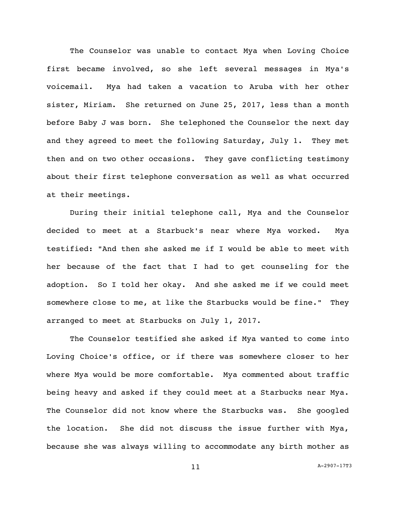The Counselor was unable to contact Mya when Loving Choice first became involved, so she left several messages in Mya's voicemail. Mya had taken a vacation to Aruba with her other sister, Miriam. She returned on June 25, 2017, less than a month before Baby J was born. She telephoned the Counselor the next day and they agreed to meet the following Saturday, July 1. They met then and on two other occasions. They gave conflicting testimony about their first telephone conversation as well as what occurred at their meetings.

During their initial telephone call, Mya and the Counselor decided to meet at a Starbuck's near where Mya worked. Mya testified: "And then she asked me if I would be able to meet with her because of the fact that I had to get counseling for the adoption. So I told her okay. And she asked me if we could meet somewhere close to me, at like the Starbucks would be fine." They arranged to meet at Starbucks on July 1, 2017.

The Counselor testified she asked if Mya wanted to come into Loving Choice's office, or if there was somewhere closer to her where Mya would be more comfortable. Mya commented about traffic being heavy and asked if they could meet at a Starbucks near Mya. The Counselor did not know where the Starbucks was. She googled the location. She did not discuss the issue further with Mya, because she was always willing to accommodate any birth mother as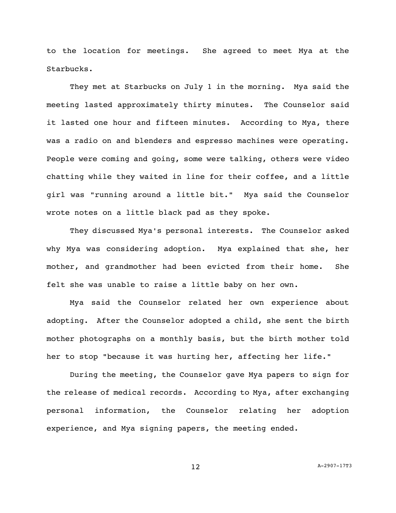to the location for meetings. She agreed to meet Mya at the Starbucks.

They met at Starbucks on July 1 in the morning. Mya said the meeting lasted approximately thirty minutes. The Counselor said it lasted one hour and fifteen minutes. According to Mya, there was a radio on and blenders and espresso machines were operating. People were coming and going, some were talking, others were video chatting while they waited in line for their coffee, and a little girl was "running around a little bit." Mya said the Counselor wrote notes on a little black pad as they spoke.

They discussed Mya's personal interests. The Counselor asked why Mya was considering adoption. Mya explained that she, her mother, and grandmother had been evicted from their home. She felt she was unable to raise a little baby on her own.

Mya said the Counselor related her own experience about adopting. After the Counselor adopted a child, she sent the birth mother photographs on a monthly basis, but the birth mother told her to stop "because it was hurting her, affecting her life."

During the meeting, the Counselor gave Mya papers to sign for the release of medical records. According to Mya, after exchanging personal information, the Counselor relating her adoption experience, and Mya signing papers, the meeting ended.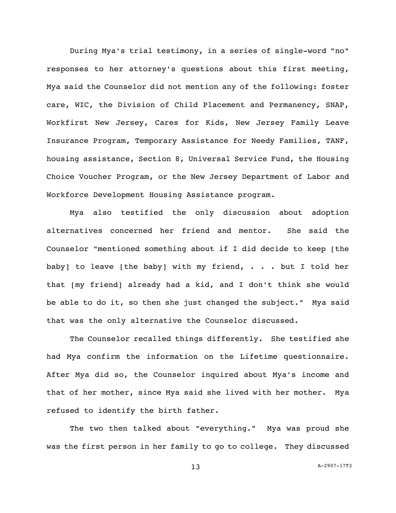During Mya's trial testimony, in a series of single-word "no" responses to her attorney's questions about this first meeting, Mya said the Counselor did not mention any of the following: foster care, WIC, the Division of Child Placement and Permanency, SNAP, Workfirst New Jersey, Cares for Kids, New Jersey Family Leave Insurance Program, Temporary Assistance for Needy Families, TANF, housing assistance, Section 8, Universal Service Fund, the Housing Choice Voucher Program, or the New Jersey Department of Labor and Workforce Development Housing Assistance program.

Mya also testified the only discussion about adoption alternatives concerned her friend and mentor. She said the Counselor "mentioned something about if I did decide to keep [the baby] to leave [the baby] with my friend, . . . but I told her that [my friend] already had a kid, and I don't think she would be able to do it, so then she just changed the subject." Mya said that was the only alternative the Counselor discussed.

The Counselor recalled things differently. She testified she had Mya confirm the information on the Lifetime questionnaire. After Mya did so, the Counselor inquired about Mya's income and that of her mother, since Mya said she lived with her mother. Mya refused to identify the birth father.

The two then talked about "everything." Mya was proud she was the first person in her family to go to college. They discussed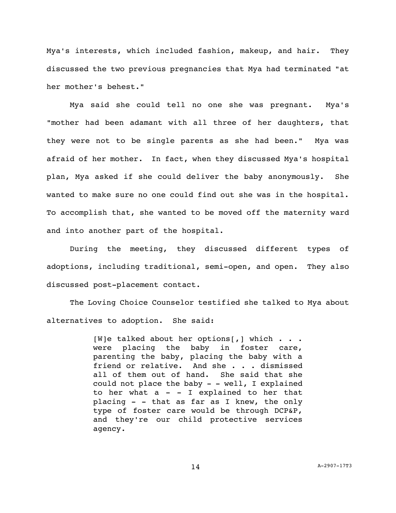Mya's interests, which included fashion, makeup, and hair. They discussed the two previous pregnancies that Mya had terminated "at her mother's behest."

Mya said she could tell no one she was pregnant. Mya's "mother had been adamant with all three of her daughters, that they were not to be single parents as she had been." Mya was afraid of her mother. In fact, when they discussed Mya's hospital plan, Mya asked if she could deliver the baby anonymously. She wanted to make sure no one could find out she was in the hospital. To accomplish that, she wanted to be moved off the maternity ward and into another part of the hospital.

During the meeting, they discussed different types of adoptions, including traditional, semi-open, and open. They also discussed post-placement contact.

The Loving Choice Counselor testified she talked to Mya about alternatives to adoption. She said:

> [W]e talked about her options[,] which  $\ldots$ . were placing the baby in foster care, parenting the baby, placing the baby with a friend or relative. And she . . . dismissed all of them out of hand. She said that she could not place the baby  $-$  - well, I explained to her what  $a - I$  explained to her that placing - - that as far as I knew, the only type of foster care would be through DCP&P, and they're our child protective services agency.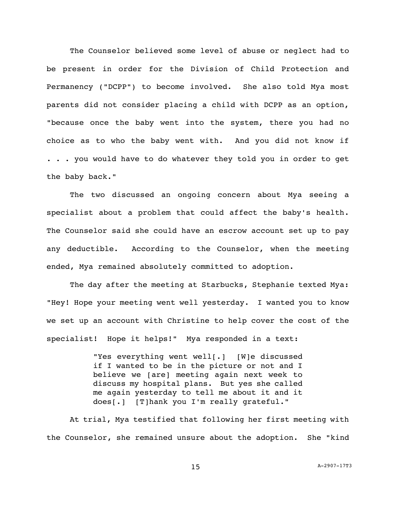The Counselor believed some level of abuse or neglect had to be present in order for the Division of Child Protection and Permanency ("DCPP") to become involved. She also told Mya most parents did not consider placing a child with DCPP as an option, "because once the baby went into the system, there you had no choice as to who the baby went with. And you did not know if . . . you would have to do whatever they told you in order to get the baby back."

The two discussed an ongoing concern about Mya seeing a specialist about a problem that could affect the baby's health. The Counselor said she could have an escrow account set up to pay any deductible. According to the Counselor, when the meeting ended, Mya remained absolutely committed to adoption.

The day after the meeting at Starbucks, Stephanie texted Mya: "Hey! Hope your meeting went well yesterday. I wanted you to know we set up an account with Christine to help cover the cost of the specialist! Hope it helps!" Mya responded in a text:

> "Yes everything went well[.] [W]e discussed if I wanted to be in the picture or not and I believe we [are] meeting again next week to discuss my hospital plans. But yes she called me again yesterday to tell me about it and it does[.] [T]hank you I'm really grateful."

At trial, Mya testified that following her first meeting with the Counselor, she remained unsure about the adoption. She "kind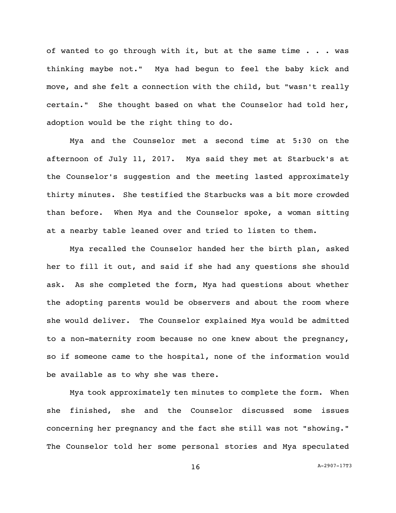of wanted to go through with it, but at the same time . . . was thinking maybe not." Mya had begun to feel the baby kick and move, and she felt a connection with the child, but "wasn't really certain." She thought based on what the Counselor had told her, adoption would be the right thing to do.

Mya and the Counselor met a second time at 5:30 on the afternoon of July 11, 2017. Mya said they met at Starbuck's at the Counselor's suggestion and the meeting lasted approximately thirty minutes. She testified the Starbucks was a bit more crowded than before. When Mya and the Counselor spoke, a woman sitting at a nearby table leaned over and tried to listen to them.

Mya recalled the Counselor handed her the birth plan, asked her to fill it out, and said if she had any questions she should ask. As she completed the form, Mya had questions about whether the adopting parents would be observers and about the room where she would deliver. The Counselor explained Mya would be admitted to a non-maternity room because no one knew about the pregnancy, so if someone came to the hospital, none of the information would be available as to why she was there.

Mya took approximately ten minutes to complete the form. When she finished, she and the Counselor discussed some issues concerning her pregnancy and the fact she still was not "showing." The Counselor told her some personal stories and Mya speculated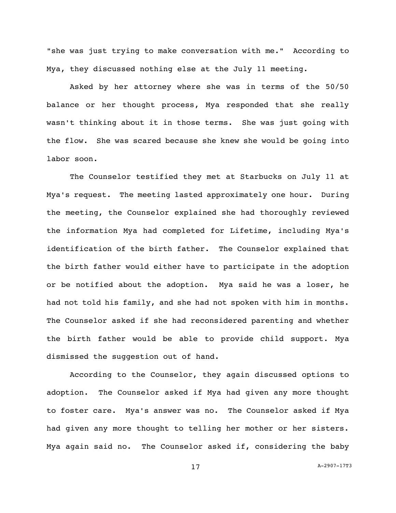"she was just trying to make conversation with me." According to Mya, they discussed nothing else at the July 11 meeting.

Asked by her attorney where she was in terms of the 50/50 balance or her thought process, Mya responded that she really wasn't thinking about it in those terms. She was just going with the flow. She was scared because she knew she would be going into labor soon.

The Counselor testified they met at Starbucks on July 11 at Mya's request. The meeting lasted approximately one hour. During the meeting, the Counselor explained she had thoroughly reviewed the information Mya had completed for Lifetime, including Mya's identification of the birth father. The Counselor explained that the birth father would either have to participate in the adoption or be notified about the adoption. Mya said he was a loser, he had not told his family, and she had not spoken with him in months. The Counselor asked if she had reconsidered parenting and whether the birth father would be able to provide child support. Mya dismissed the suggestion out of hand.

According to the Counselor, they again discussed options to adoption. The Counselor asked if Mya had given any more thought to foster care. Mya's answer was no. The Counselor asked if Mya had given any more thought to telling her mother or her sisters. Mya again said no. The Counselor asked if, considering the baby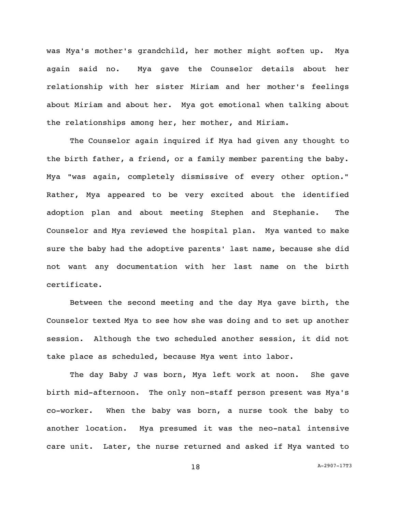was Mya's mother's grandchild, her mother might soften up. Mya again said no. Mya gave the Counselor details about her relationship with her sister Miriam and her mother's feelings about Miriam and about her. Mya got emotional when talking about the relationships among her, her mother, and Miriam.

The Counselor again inquired if Mya had given any thought to the birth father, a friend, or a family member parenting the baby. Mya "was again, completely dismissive of every other option." Rather, Mya appeared to be very excited about the identified adoption plan and about meeting Stephen and Stephanie. The Counselor and Mya reviewed the hospital plan. Mya wanted to make sure the baby had the adoptive parents' last name, because she did not want any documentation with her last name on the birth certificate.

Between the second meeting and the day Mya gave birth, the Counselor texted Mya to see how she was doing and to set up another session. Although the two scheduled another session, it did not take place as scheduled, because Mya went into labor.

The day Baby J was born, Mya left work at noon. She gave birth mid-afternoon. The only non-staff person present was Mya's co-worker. When the baby was born, a nurse took the baby to another location. Mya presumed it was the neo-natal intensive care unit. Later, the nurse returned and asked if Mya wanted to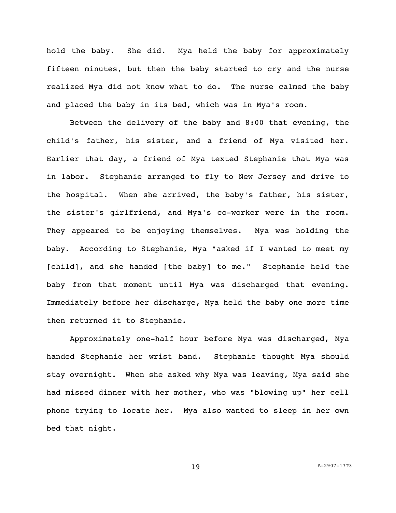hold the baby. She did. Mya held the baby for approximately fifteen minutes, but then the baby started to cry and the nurse realized Mya did not know what to do. The nurse calmed the baby and placed the baby in its bed, which was in Mya's room.

Between the delivery of the baby and 8:00 that evening, the child's father, his sister, and a friend of Mya visited her. Earlier that day, a friend of Mya texted Stephanie that Mya was in labor. Stephanie arranged to fly to New Jersey and drive to the hospital. When she arrived, the baby's father, his sister, the sister's girlfriend, and Mya's co-worker were in the room. They appeared to be enjoying themselves. Mya was holding the baby. According to Stephanie, Mya "asked if I wanted to meet my [child], and she handed [the baby] to me." Stephanie held the baby from that moment until Mya was discharged that evening. Immediately before her discharge, Mya held the baby one more time then returned it to Stephanie.

Approximately one-half hour before Mya was discharged, Mya handed Stephanie her wrist band. Stephanie thought Mya should stay overnight. When she asked why Mya was leaving, Mya said she had missed dinner with her mother, who was "blowing up" her cell phone trying to locate her. Mya also wanted to sleep in her own bed that night.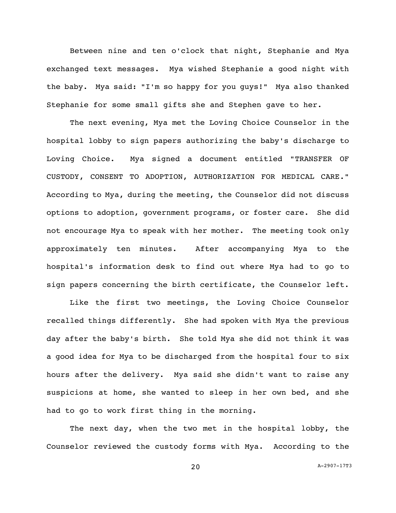Between nine and ten o'clock that night, Stephanie and Mya exchanged text messages. Mya wished Stephanie a good night with the baby. Mya said: "I'm so happy for you guys!" Mya also thanked Stephanie for some small gifts she and Stephen gave to her.

The next evening, Mya met the Loving Choice Counselor in the hospital lobby to sign papers authorizing the baby's discharge to Loving Choice. Mya signed a document entitled "TRANSFER OF CUSTODY, CONSENT TO ADOPTION, AUTHORIZATION FOR MEDICAL CARE." According to Mya, during the meeting, the Counselor did not discuss options to adoption, government programs, or foster care. She did not encourage Mya to speak with her mother. The meeting took only approximately ten minutes. After accompanying Mya to the hospital's information desk to find out where Mya had to go to sign papers concerning the birth certificate, the Counselor left.

Like the first two meetings, the Loving Choice Counselor recalled things differently. She had spoken with Mya the previous day after the baby's birth. She told Mya she did not think it was a good idea for Mya to be discharged from the hospital four to six hours after the delivery. Mya said she didn't want to raise any suspicions at home, she wanted to sleep in her own bed, and she had to go to work first thing in the morning.

The next day, when the two met in the hospital lobby, the Counselor reviewed the custody forms with Mya. According to the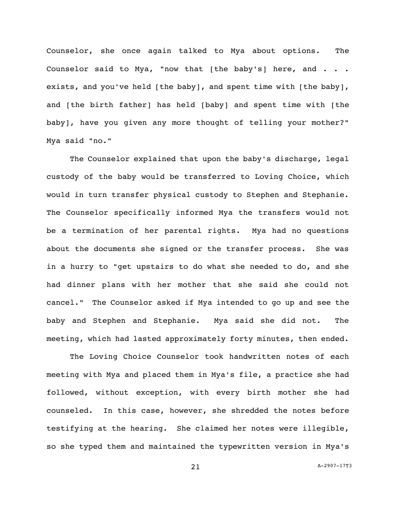Counselor, she once again talked to Mya about options. The Counselor said to Mya, "now that [the baby's] here, and . . . exists, and you've held [the baby], and spent time with [the baby], and [the birth father] has held [baby] and spent time with [the baby], have you given any more thought of telling your mother?" Mya said "no."

The Counselor explained that upon the baby's discharge, legal custody of the baby would be transferred to Loving Choice, which would in turn transfer physical custody to Stephen and Stephanie. The Counselor specifically informed Mya the transfers would not be a termination of her parental rights. Mya had no questions about the documents she signed or the transfer process. She was in a hurry to "get upstairs to do what she needed to do, and she had dinner plans with her mother that she said she could not cancel." The Counselor asked if Mya intended to go up and see the baby and Stephen and Stephanie. Mya said she did not. The meeting, which had lasted approximately forty minutes, then ended.

The Loving Choice Counselor took handwritten notes of each meeting with Mya and placed them in Mya's file, a practice she had followed, without exception, with every birth mother she had counseled. In this case, however, she shredded the notes before testifying at the hearing. She claimed her notes were illegible, so she typed them and maintained the typewritten version in Mya's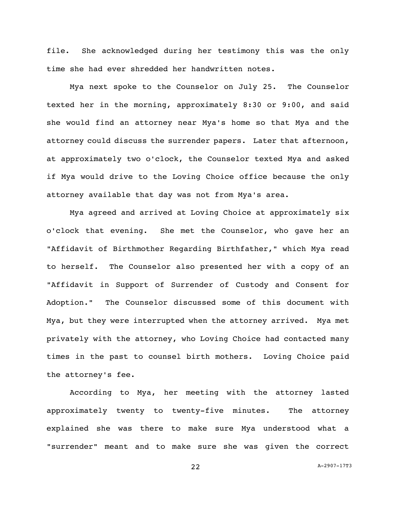file. She acknowledged during her testimony this was the only time she had ever shredded her handwritten notes.

Mya next spoke to the Counselor on July 25. The Counselor texted her in the morning, approximately 8:30 or 9:00, and said she would find an attorney near Mya's home so that Mya and the attorney could discuss the surrender papers. Later that afternoon, at approximately two o'clock, the Counselor texted Mya and asked if Mya would drive to the Loving Choice office because the only attorney available that day was not from Mya's area.

Mya agreed and arrived at Loving Choice at approximately six o'clock that evening. She met the Counselor, who gave her an "Affidavit of Birthmother Regarding Birthfather," which Mya read to herself. The Counselor also presented her with a copy of an "Affidavit in Support of Surrender of Custody and Consent for Adoption." The Counselor discussed some of this document with Mya, but they were interrupted when the attorney arrived. Mya met privately with the attorney, who Loving Choice had contacted many times in the past to counsel birth mothers. Loving Choice paid the attorney's fee.

According to Mya, her meeting with the attorney lasted approximately twenty to twenty-five minutes. The attorney explained she was there to make sure Mya understood what a "surrender" meant and to make sure she was given the correct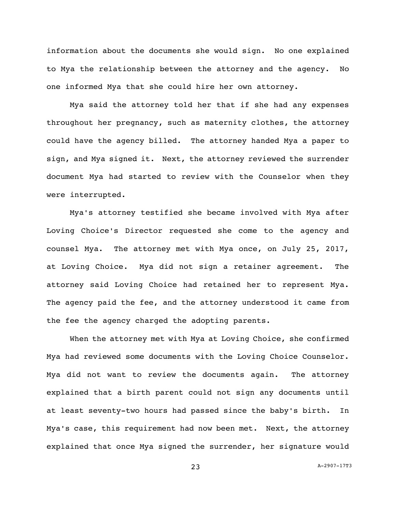information about the documents she would sign. No one explained to Mya the relationship between the attorney and the agency. No one informed Mya that she could hire her own attorney.

Mya said the attorney told her that if she had any expenses throughout her pregnancy, such as maternity clothes, the attorney could have the agency billed. The attorney handed Mya a paper to sign, and Mya signed it. Next, the attorney reviewed the surrender document Mya had started to review with the Counselor when they were interrupted.

Mya's attorney testified she became involved with Mya after Loving Choice's Director requested she come to the agency and counsel Mya. The attorney met with Mya once, on July 25, 2017, at Loving Choice. Mya did not sign a retainer agreement. The attorney said Loving Choice had retained her to represent Mya. The agency paid the fee, and the attorney understood it came from the fee the agency charged the adopting parents.

When the attorney met with Mya at Loving Choice, she confirmed Mya had reviewed some documents with the Loving Choice Counselor. Mya did not want to review the documents again. The attorney explained that a birth parent could not sign any documents until at least seventy-two hours had passed since the baby's birth. In Mya's case, this requirement had now been met. Next, the attorney explained that once Mya signed the surrender, her signature would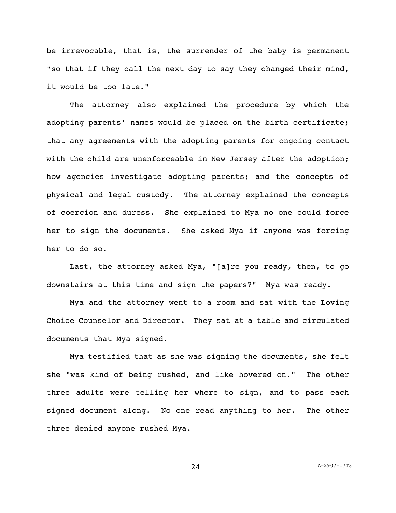be irrevocable, that is, the surrender of the baby is permanent "so that if they call the next day to say they changed their mind, it would be too late."

The attorney also explained the procedure by which the adopting parents' names would be placed on the birth certificate; that any agreements with the adopting parents for ongoing contact with the child are unenforceable in New Jersey after the adoption; how agencies investigate adopting parents; and the concepts of physical and legal custody. The attorney explained the concepts of coercion and duress. She explained to Mya no one could force her to sign the documents. She asked Mya if anyone was forcing her to do so.

Last, the attorney asked Mya, "[a]re you ready, then, to go downstairs at this time and sign the papers?" Mya was ready.

Mya and the attorney went to a room and sat with the Loving Choice Counselor and Director. They sat at a table and circulated documents that Mya signed.

Mya testified that as she was signing the documents, she felt she "was kind of being rushed, and like hovered on." The other three adults were telling her where to sign, and to pass each signed document along. No one read anything to her. The other three denied anyone rushed Mya.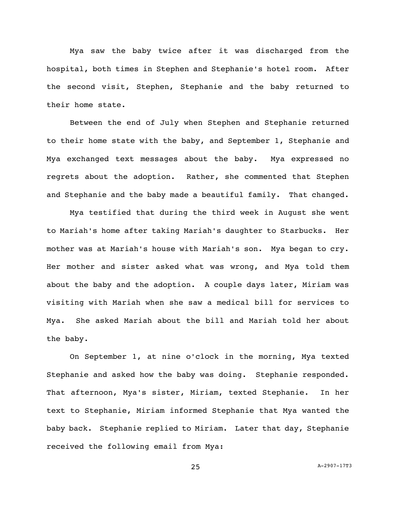Mya saw the baby twice after it was discharged from the hospital, both times in Stephen and Stephanie's hotel room. After the second visit, Stephen, Stephanie and the baby returned to their home state.

Between the end of July when Stephen and Stephanie returned to their home state with the baby, and September 1, Stephanie and Mya exchanged text messages about the baby. Mya expressed no regrets about the adoption. Rather, she commented that Stephen and Stephanie and the baby made a beautiful family. That changed.

Mya testified that during the third week in August she went to Mariah's home after taking Mariah's daughter to Starbucks. Her mother was at Mariah's house with Mariah's son. Mya began to cry. Her mother and sister asked what was wrong, and Mya told them about the baby and the adoption. A couple days later, Miriam was visiting with Mariah when she saw a medical bill for services to Mya. She asked Mariah about the bill and Mariah told her about the baby.

On September 1, at nine o'clock in the morning, Mya texted Stephanie and asked how the baby was doing. Stephanie responded. That afternoon, Mya's sister, Miriam, texted Stephanie. In her text to Stephanie, Miriam informed Stephanie that Mya wanted the baby back. Stephanie replied to Miriam. Later that day, Stephanie received the following email from Mya: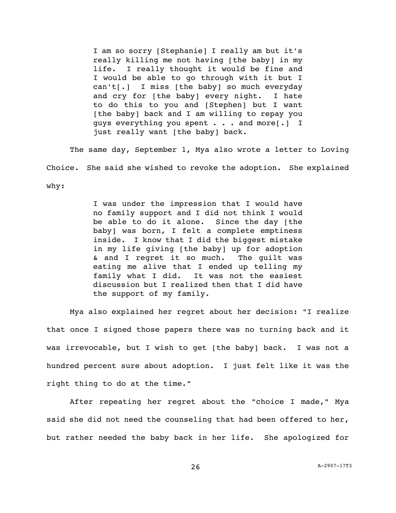I am so sorry [Stephanie] I really am but it's really killing me not having [the baby] in my life. I really thought it would be fine and I would be able to go through with it but I can't[.] I miss [the baby] so much everyday and cry for [the baby] every night. I hate to do this to you and [Stephen] but I want [the baby] back and I am willing to repay you guys everything you spent . . . and more[.] I just really want [the baby] back.

The same day, September 1, Mya also wrote a letter to Loving Choice. She said she wished to revoke the adoption. She explained why:

> I was under the impression that I would have no family support and I did not think I would be able to do it alone. Since the day [the baby] was born, I felt a complete emptiness inside. I know that I did the biggest mistake in my life giving [the baby] up for adoption & and I regret it so much. The guilt was eating me alive that I ended up telling my family what I did. It was not the easiest discussion but I realized then that I did have the support of my family.

Mya also explained her regret about her decision: "I realize that once I signed those papers there was no turning back and it was irrevocable, but I wish to get [the baby] back. I was not a hundred percent sure about adoption. I just felt like it was the right thing to do at the time."

After repeating her regret about the "choice I made," Mya said she did not need the counseling that had been offered to her, but rather needed the baby back in her life. She apologized for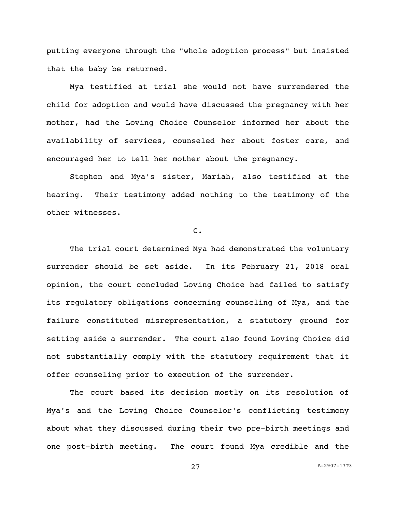putting everyone through the "whole adoption process" but insisted that the baby be returned.

Mya testified at trial she would not have surrendered the child for adoption and would have discussed the pregnancy with her mother, had the Loving Choice Counselor informed her about the availability of services, counseled her about foster care, and encouraged her to tell her mother about the pregnancy.

Stephen and Mya's sister, Mariah, also testified at the hearing. Their testimony added nothing to the testimony of the other witnesses.

### C.

The trial court determined Mya had demonstrated the voluntary surrender should be set aside. In its February 21, 2018 oral opinion, the court concluded Loving Choice had failed to satisfy its regulatory obligations concerning counseling of Mya, and the failure constituted misrepresentation, a statutory ground for setting aside a surrender. The court also found Loving Choice did not substantially comply with the statutory requirement that it offer counseling prior to execution of the surrender.

The court based its decision mostly on its resolution of Mya's and the Loving Choice Counselor's conflicting testimony about what they discussed during their two pre-birth meetings and one post-birth meeting. The court found Mya credible and the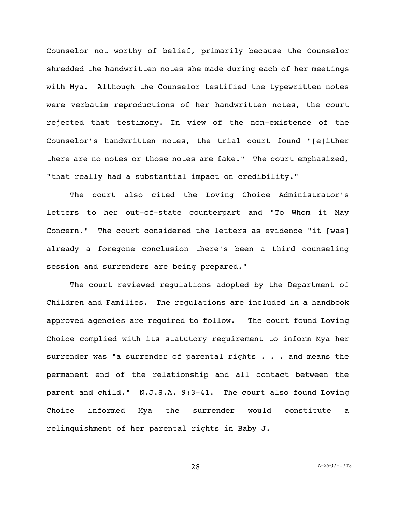Counselor not worthy of belief, primarily because the Counselor shredded the handwritten notes she made during each of her meetings with Mya. Although the Counselor testified the typewritten notes were verbatim reproductions of her handwritten notes, the court rejected that testimony. In view of the non-existence of the Counselor's handwritten notes, the trial court found "[e]ither there are no notes or those notes are fake." The court emphasized, "that really had a substantial impact on credibility."

The court also cited the Loving Choice Administrator's letters to her out-of-state counterpart and "To Whom it May Concern." The court considered the letters as evidence "it [was] already a foregone conclusion there's been a third counseling session and surrenders are being prepared."

The court reviewed regulations adopted by the Department of Children and Families. The regulations are included in a handbook approved agencies are required to follow. The court found Loving Choice complied with its statutory requirement to inform Mya her surrender was "a surrender of parental rights  $\ldots$  and means the permanent end of the relationship and all contact between the parent and child." N.J.S.A. 9:3-41. The court also found Loving Choice informed Mya the surrender would constitute a relinquishment of her parental rights in Baby J.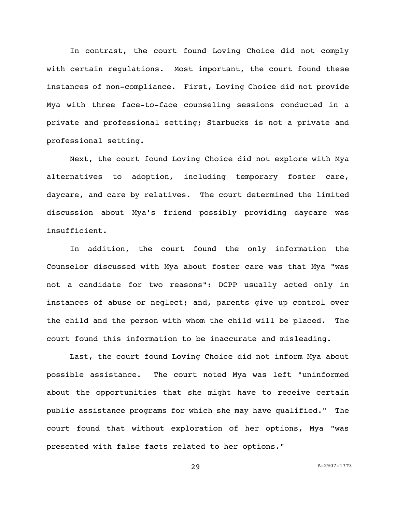In contrast, the court found Loving Choice did not comply with certain regulations. Most important, the court found these instances of non-compliance. First, Loving Choice did not provide Mya with three face-to-face counseling sessions conducted in a private and professional setting; Starbucks is not a private and professional setting.

Next, the court found Loving Choice did not explore with Mya alternatives to adoption, including temporary foster care, daycare, and care by relatives. The court determined the limited discussion about Mya's friend possibly providing daycare was insufficient.

In addition, the court found the only information the Counselor discussed with Mya about foster care was that Mya "was not a candidate for two reasons": DCPP usually acted only in instances of abuse or neglect; and, parents give up control over the child and the person with whom the child will be placed. The court found this information to be inaccurate and misleading.

Last, the court found Loving Choice did not inform Mya about possible assistance. The court noted Mya was left "uninformed about the opportunities that she might have to receive certain public assistance programs for which she may have qualified." The court found that without exploration of her options, Mya "was presented with false facts related to her options."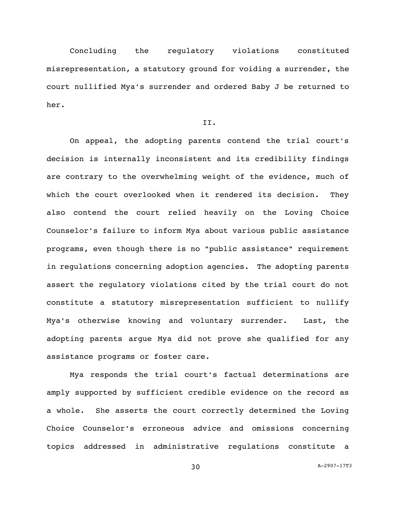Concluding the regulatory violations constituted misrepresentation, a statutory ground for voiding a surrender, the court nullified Mya's surrender and ordered Baby J be returned to her.

# II.

On appeal, the adopting parents contend the trial court's decision is internally inconsistent and its credibility findings are contrary to the overwhelming weight of the evidence, much of which the court overlooked when it rendered its decision. They also contend the court relied heavily on the Loving Choice Counselor's failure to inform Mya about various public assistance programs, even though there is no "public assistance" requirement in regulations concerning adoption agencies. The adopting parents assert the regulatory violations cited by the trial court do not constitute a statutory misrepresentation sufficient to nullify Mya's otherwise knowing and voluntary surrender. Last, the adopting parents argue Mya did not prove she qualified for any assistance programs or foster care.

Mya responds the trial court's factual determinations are amply supported by sufficient credible evidence on the record as a whole. She asserts the court correctly determined the Loving Choice Counselor's erroneous advice and omissions concerning topics addressed in administrative regulations constitute a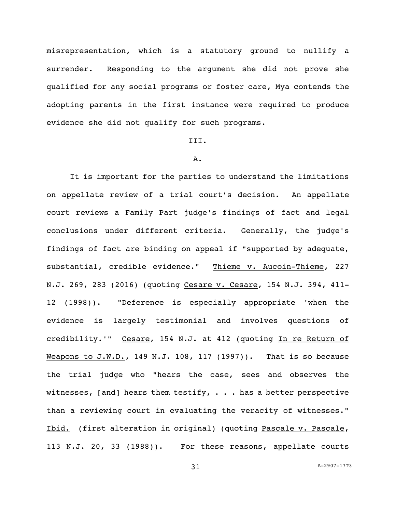misrepresentation, which is a statutory ground to nullify a surrender. Responding to the argument she did not prove she qualified for any social programs or foster care, Mya contends the adopting parents in the first instance were required to produce evidence she did not qualify for such programs.

# III.

#### A.

It is important for the parties to understand the limitations on appellate review of a trial court's decision. An appellate court reviews a Family Part judge's findings of fact and legal conclusions under different criteria. Generally, the judge's findings of fact are binding on appeal if "supported by adequate, substantial, credible evidence." Thieme v. Aucoin-Thieme, 227 N.J. 269, 283 (2016) (quoting Cesare v. Cesare, 154 N.J. 394, 411-12 (1998)). "Deference is especially appropriate 'when the evidence is largely testimonial and involves questions of credibility.'" Cesare, 154 N.J. at 412 (quoting In re Return of Weapons to J.W.D., 149 N.J. 108, 117 (1997)). That is so because the trial judge who "hears the case, sees and observes the witnesses, [and] hears them testify,  $\cdot \cdot \cdot$  has a better perspective than a reviewing court in evaluating the veracity of witnesses." Ibid. (first alteration in original) (quoting Pascale v. Pascale, 113 N.J. 20, 33 (1988)). For these reasons, appellate courts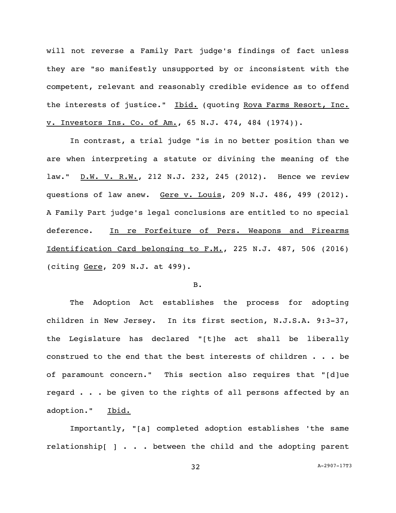will not reverse a Family Part judge's findings of fact unless they are "so manifestly unsupported by or inconsistent with the competent, relevant and reasonably credible evidence as to offend the interests of justice." Ibid. (quoting Rova Farms Resort, Inc. v. Investors Ins. Co. of Am., 65 N.J. 474, 484 (1974)).

In contrast, a trial judge "is in no better position than we are when interpreting a statute or divining the meaning of the law." D.W. V. R.W., 212 N.J. 232, 245 (2012). Hence we review questions of law anew. Gere v. Louis, 209 N.J. 486, 499 (2012). A Family Part judge's legal conclusions are entitled to no special deference. In re Forfeiture of Pers. Weapons and Firearms Identification Card belonging to F.M., 225 N.J. 487, 506 (2016) (citing Gere, 209 N.J. at 499).

# B.

The Adoption Act establishes the process for adopting children in New Jersey. In its first section, N.J.S.A. 9:3-37, the Legislature has declared "[t]he act shall be liberally construed to the end that the best interests of children . . . be of paramount concern." This section also requires that "[d]ue regard . . . be given to the rights of all persons affected by an adoption." Ibid.

Importantly, "[a] completed adoption establishes 'the same relationship[ ] . . . between the child and the adopting parent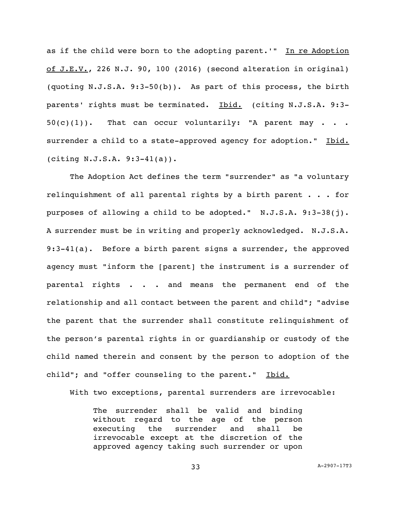as if the child were born to the adopting parent.'" In re Adoption of J.E.V., 226 N.J. 90, 100 (2016) (second alteration in original) (quoting N.J.S.A. 9:3-50(b)). As part of this process, the birth parents' rights must be terminated. Ibid. (citing N.J.S.A. 9:3- $50(c)(1)$ . That can occur voluntarily: "A parent may . . . surrender a child to a state-approved agency for adoption." Ibid. (citing N.J.S.A. 9:3-41(a)).

The Adoption Act defines the term "surrender" as "a voluntary relinquishment of all parental rights by a birth parent . . . for purposes of allowing a child to be adopted." N.J.S.A. 9:3-38(j). A surrender must be in writing and properly acknowledged. N.J.S.A. 9:3-41(a). Before a birth parent signs a surrender, the approved agency must "inform the [parent] the instrument is a surrender of parental rights . . . and means the permanent end of the relationship and all contact between the parent and child"; "advise the parent that the surrender shall constitute relinquishment of the person's parental rights in or guardianship or custody of the child named therein and consent by the person to adoption of the child"; and "offer counseling to the parent." Ibid.

With two exceptions, parental surrenders are irrevocable:

The surrender shall be valid and binding without regard to the age of the person executing the surrender and shall be irrevocable except at the discretion of the approved agency taking such surrender or upon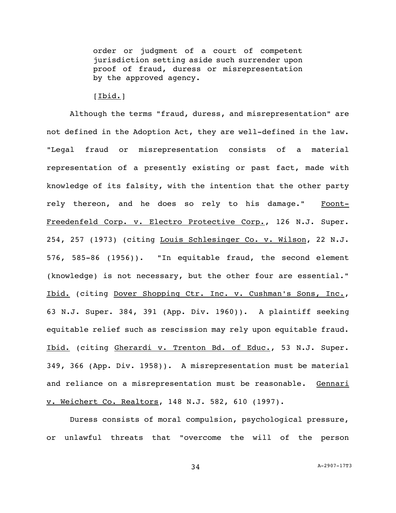order or judgment of a court of competent jurisdiction setting aside such surrender upon proof of fraud, duress or misrepresentation by the approved agency.

# $[**I**bid.]$

Although the terms "fraud, duress, and misrepresentation" are not defined in the Adoption Act, they are well-defined in the law. "Legal fraud or misrepresentation consists of a material representation of a presently existing or past fact, made with knowledge of its falsity, with the intention that the other party rely thereon, and he does so rely to his damage." Foont-Freedenfeld Corp. v. Electro Protective Corp., 126 N.J. Super. 254, 257 (1973) (citing Louis Schlesinger Co. v. Wilson, 22 N.J. 576, 585-86 (1956)). "In equitable fraud, the second element (knowledge) is not necessary, but the other four are essential." Ibid. (citing Dover Shopping Ctr. Inc. v. Cushman's Sons, Inc., 63 N.J. Super. 384, 391 (App. Div. 1960)). A plaintiff seeking equitable relief such as rescission may rely upon equitable fraud. Ibid. (citing Gherardi v. Trenton Bd. of Educ., 53 N.J. Super. 349, 366 (App. Div. 1958)). A misrepresentation must be material and reliance on a misrepresentation must be reasonable. Gennari v. Weichert Co. Realtors, 148 N.J. 582, 610 (1997).

Duress consists of moral compulsion, psychological pressure, or unlawful threats that "overcome the will of the person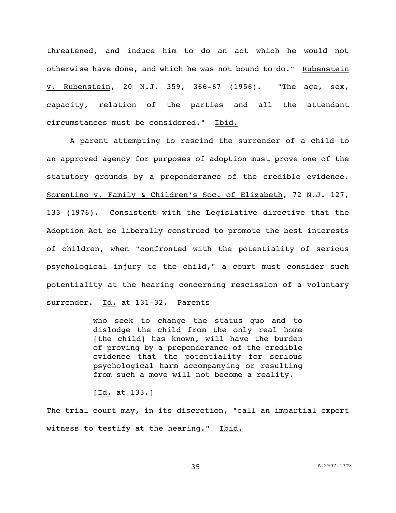threatened, and induce him to do an act which he would not otherwise have done, and which he was not bound to do." Rubenstein v. Rubenstein, 20 N.J. 359, 366-67 (1956). "The age, sex, capacity, relation of the parties and all the attendant circumstances must be considered." Ibid.

A parent attempting to rescind the surrender of a child to an approved agency for purposes of adoption must prove one of the statutory grounds by a preponderance of the credible evidence. Sorentino v. Family & Children's Soc. of Elizabeth, 72 N.J. 127, 133 (1976). Consistent with the Legislative directive that the Adoption Act be liberally construed to promote the best interests of children, when "confronted with the potentiality of serious psychological injury to the child," a court must consider such potentiality at the hearing concerning rescission of a voluntary surrender. Id. at 131-32. Parents

> who seek to change the status quo and to dislodge the child from the only real home [the child] has known, will have the burden of proving by a preponderance of the credible evidence that the potentiality for serious psychological harm accompanying or resulting from such a move will not become a reality.

 $[Id. at 133.]$ 

The trial court may, in its discretion, "call an impartial expert witness to testify at the hearing." Ibid.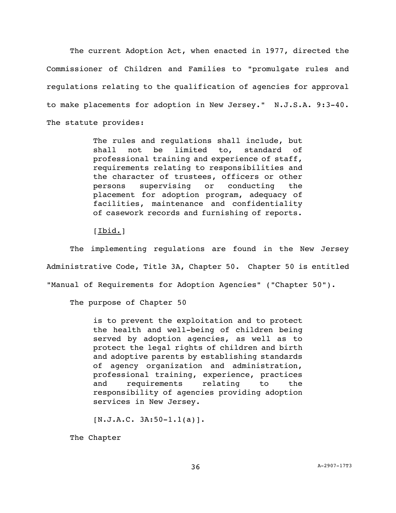The current Adoption Act, when enacted in 1977, directed the Commissioner of Children and Families to "promulgate rules and regulations relating to the qualification of agencies for approval to make placements for adoption in New Jersey." N.J.S.A. 9:3-40. The statute provides:

> The rules and regulations shall include, but shall not be limited to, standard of professional training and experience of staff, requirements relating to responsibilities and the character of trustees, officers or other persons supervising or conducting the placement for adoption program, adequacy of facilities, maintenance and confidentiality of casework records and furnishing of reports.

 $[**I**bid.]$ 

The implementing regulations are found in the New Jersey Administrative Code, Title 3A, Chapter 50. Chapter 50 is entitled "Manual of Requirements for Adoption Agencies" ("Chapter 50").

The purpose of Chapter 50

is to prevent the exploitation and to protect the health and well-being of children being served by adoption agencies, as well as to protect the legal rights of children and birth and adoptive parents by establishing standards of agency organization and administration, professional training, experience, practices and requirements relating to the responsibility of agencies providing adoption services in New Jersey.

 $[N.J.A.C. 3A:50-1.1(a)].$ 

The Chapter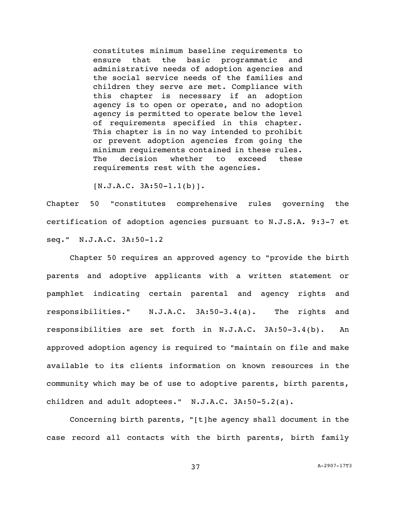constitutes minimum baseline requirements to ensure that the basic programmatic and administrative needs of adoption agencies and the social service needs of the families and children they serve are met. Compliance with this chapter is necessary if an adoption agency is to open or operate, and no adoption agency is permitted to operate below the level of requirements specified in this chapter. This chapter is in no way intended to prohibit or prevent adoption agencies from going the minimum requirements contained in these rules. The decision whether to exceed these requirements rest with the agencies.

 $[N.J.A.C. 3A:50-1.1(b)]$ .

Chapter 50 "constitutes comprehensive rules governing the certification of adoption agencies pursuant to N.J.S.A. 9:3-7 et seq." N.J.A.C. 3A:50-1.2

Chapter 50 requires an approved agency to "provide the birth parents and adoptive applicants with a written statement or pamphlet indicating certain parental and agency rights and responsibilities." N.J.A.C. 3A:50-3.4(a). The rights and responsibilities are set forth in N.J.A.C. 3A:50-3.4(b). An approved adoption agency is required to "maintain on file and make available to its clients information on known resources in the community which may be of use to adoptive parents, birth parents, children and adult adoptees." N.J.A.C. 3A:50-5.2(a).

Concerning birth parents, "[t]he agency shall document in the case record all contacts with the birth parents, birth family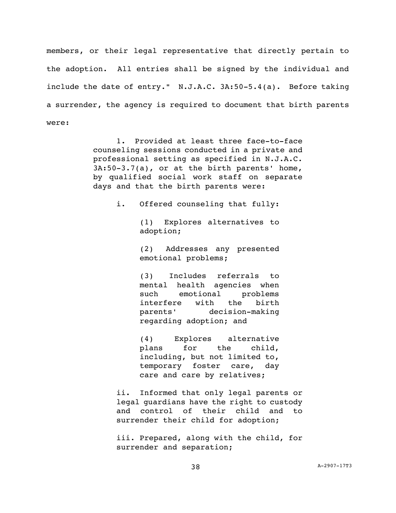members, or their legal representative that directly pertain to the adoption. All entries shall be signed by the individual and include the date of entry." N.J.A.C. 3A:50-5.4(a). Before taking a surrender, the agency is required to document that birth parents were:

> 1**.** Provided at least three face-to-face counseling sessions conducted in a private and professional setting as specified in [N.J.A.C.](https://advance.lexis.com/document/documentslider/?pdmfid=1000516&crid=1fe91ca4-9c8a-461a-93d8-281c3ddf0ac8&pdistocdocslideraccess=true&config=&pddocfullpath=%2Fshared%2Fdocument%2Fadministrative-codes%2Furn%3AcontentItem%3A5SS0-4VB0-00BY-K3PT-00000-00&pdcomponentid=237260&pdtocnodeidentifier=AAEABBAAGAAE&ecomp=53-7k&prid=c092f2bd-7aca-44ac-906b-5a4c1fe5c655)  [3A:50-3.7\(a\),](https://advance.lexis.com/document/documentslider/?pdmfid=1000516&crid=1fe91ca4-9c8a-461a-93d8-281c3ddf0ac8&pdistocdocslideraccess=true&config=&pddocfullpath=%2Fshared%2Fdocument%2Fadministrative-codes%2Furn%3AcontentItem%3A5SS0-4VB0-00BY-K3PT-00000-00&pdcomponentid=237260&pdtocnodeidentifier=AAEABBAAGAAE&ecomp=53-7k&prid=c092f2bd-7aca-44ac-906b-5a4c1fe5c655) or at the birth parents' home, by qualified social work staff on separate days and that the birth parents were:

> > i. Offered counseling that fully:

(1) Explores alternatives to adoption;

(2) Addresses any presented emotional problems;

(3) Includes referrals to mental health agencies when such emotional problems interfere with the birth parents' decision-making regarding adoption; and

(4) Explores alternative plans for the child, including, but not limited to, temporary foster care, day care and care by relatives;

ii**.** Informed that only legal parents or legal guardians have the right to custody and control of their child and to surrender their child for adoption;

iii. Prepared, along with the child, for surrender and separation;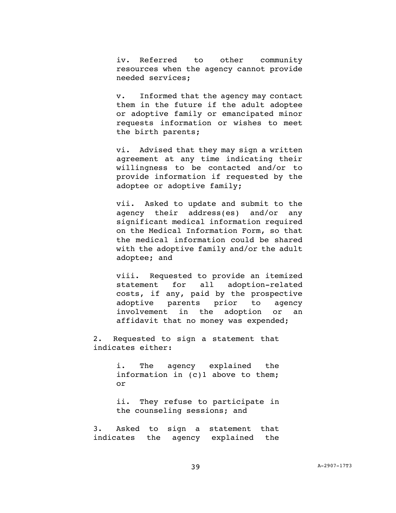iv. Referred to other community resources when the agency cannot provide needed services;

v. Informed that the agency may contact them in the future if the adult adoptee or adoptive family or emancipated minor requests information or wishes to meet the birth parents;

vi. Advised that they may sign a written agreement at any time indicating their willingness to be contacted and/or to provide information if requested by the adoptee or adoptive family;

vii. Asked to update and submit to the agency their address(es) and/or any significant medical information required on the Medical Information Form, so that the medical information could be shared with the adoptive family and/or the adult adoptee; and

viii. Requested to provide an itemized statement for all adoption-related costs, if any, paid by the prospective adoptive parents prior to agency involvement in the adoption or an affidavit that no money was expended;

2. Requested to sign a statement that indicates either:

> i. The agency explained the information in (c)1 above to them; or

> ii. They refuse to participate in the counseling sessions; and

3. Asked to sign a statement that indicates the agency explained the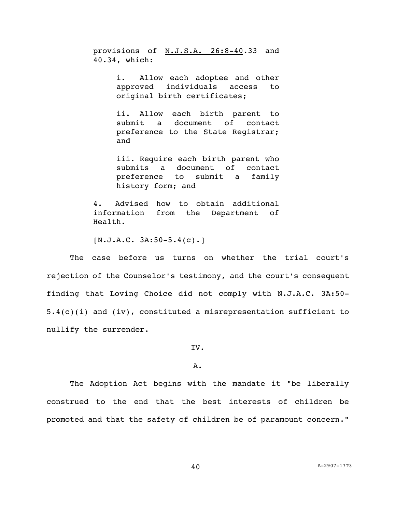provisions of [N.J.S.A. 26:8-40.](https://advance.lexis.com/document/documentslider/?pdmfid=1000516&crid=1fe91ca4-9c8a-461a-93d8-281c3ddf0ac8&pdistocdocslideraccess=true&config=&pddocfullpath=%2Fshared%2Fdocument%2Fadministrative-codes%2Furn%3AcontentItem%3A5SS0-4VB0-00BY-K3PT-00000-00&pdcomponentid=237260&pdtocnodeidentifier=AAEABBAAGAAE&ecomp=53-7k&prid=c092f2bd-7aca-44ac-906b-5a4c1fe5c655)33 and 40.34, which:

> i. Allow each adoptee and other approved individuals access to original birth certificates;

> ii. Allow each birth parent to submit a document of contact preference to the State Registrar; and

> iii. Require each birth parent who submits a document of contact preference to submit a family history form; and

4. Advised how to obtain additional information from the Department of Health.

 $[N.J.A.C. 3A:50-5.4(c).]$ 

The case before us turns on whether the trial court's rejection of the Counselor's testimony, and the court's consequent finding that Loving Choice did not comply with N.J.A.C. 3A:50- 5.4(c)(i) and (iv), constituted a misrepresentation sufficient to nullify the surrender.

IV.

# A.

The Adoption Act begins with the mandate it "be liberally construed to the end that the best interests of children be promoted and that the safety of children be of paramount concern."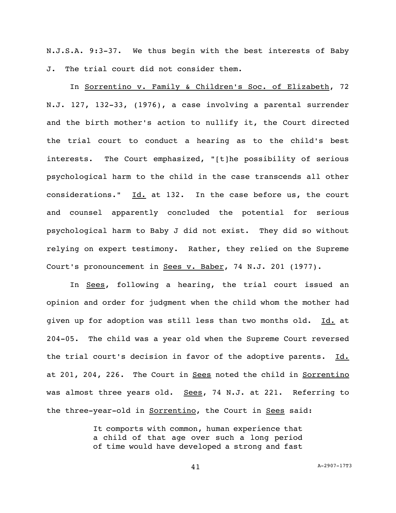N.J.S.A. 9:3-37. We thus begin with the best interests of Baby J. The trial court did not consider them.

In Sorrentino v. Family & Children's Soc. of Elizabeth, 72 N.J. 127, 132-33, (1976), a case involving a parental surrender and the birth mother's action to nullify it, the Court directed the trial court to conduct a hearing as to the child's best interests. The Court emphasized, "[t]he possibility of serious psychological harm to the child in the case transcends all other considerations."  $Id.$  at 132. In the case before us, the court and counsel apparently concluded the potential for serious psychological harm to Baby J did not exist. They did so without relying on expert testimony. Rather, they relied on the Supreme Court's pronouncement in Sees v. Baber, 74 N.J. 201 (1977).

In Sees, following a hearing, the trial court issued an opinion and order for judgment when the child whom the mother had given up for adoption was still less than two months old. Id. at 204-05. The child was a year old when the Supreme Court reversed the trial court's decision in favor of the adoptive parents. Id. at 201, 204, 226. The Court in Sees noted the child in Sorrentino was almost three years old. Sees, 74 N.J. at 221. Referring to the three-year-old in Sorrentino, the Court in Sees said:

> It comports with common, human experience that a child of that age over such a long period of time would have developed a strong and fast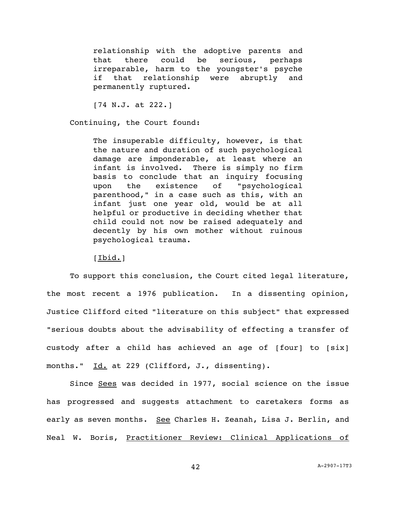relationship with the adoptive parents and that there could be serious, perhaps irreparable, harm to the youngster's psyche if that relationship were abruptly and permanently ruptured.

[74 N.J. at 222.]

Continuing, the Court found:

The insuperable difficulty, however, is that the nature and duration of such psychological damage are imponderable, at least where an infant is involved. There is simply no firm basis to conclude that an inquiry focusing upon the existence of "psychological parenthood," in a case such as this, with an infant just one year old, would be at all helpful or productive in deciding whether that child could not now be raised adequately and decently by his own mother without ruinous psychological trauma.

## [Ibid.]

To support this conclusion, the Court cited legal literature, the most recent a 1976 publication. In a dissenting opinion, Justice Clifford cited "literature on this subject" that expressed "serious doubts about the advisability of effecting a transfer of custody after a child has achieved an age of [four] to [six] months." Id. at 229 (Clifford, J., dissenting).

Since Sees was decided in 1977, social science on the issue has progressed and suggests attachment to caretakers forms as early as seven months. See Charles H. Zeanah, Lisa J. Berlin, and Neal W. Boris, Practitioner Review: Clinical Applications of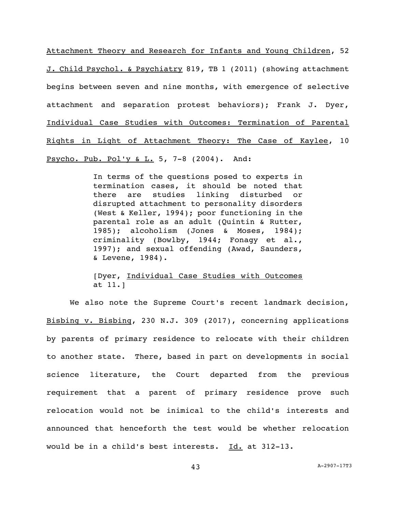Attachment Theory and Research for Infants and Young Children, 52 J. Child Psychol. & Psychiatry 819, TB 1 (2011) (showing attachment begins between seven and nine months, with emergence of selective attachment and separation protest behaviors); Frank J. Dyer, Individual Case Studies with Outcomes: Termination of Parental Rights in Light of Attachment Theory: The Case of Kaylee, 10 Psycho. Pub. Pol'y & L. 5, 7-8 (2004). And:

> In terms of the questions posed to experts in termination cases, it should be noted that there are studies linking disturbed or disrupted attachment to personality disorders (West & Keller, 1994); poor functioning in the parental role as an adult (Quintin & Rutter, 1985); alcoholism (Jones & Moses, 1984); criminality (Bowlby, 1944; Fonagy et al., 1997); and sexual offending (Awad, Saunders, & Levene, 1984).

> [Dyer, Individual Case Studies with Outcomes at 11.]

We also note the Supreme Court's recent landmark decision, Bisbing v. Bisbing, 230 N.J. 309 (2017), concerning applications by parents of primary residence to relocate with their children to another state. There, based in part on developments in social science literature, the Court departed from the previous requirement that a parent of primary residence prove such relocation would not be inimical to the child's interests and announced that henceforth the test would be whether relocation would be in a child's best interests. Id. at 312-13.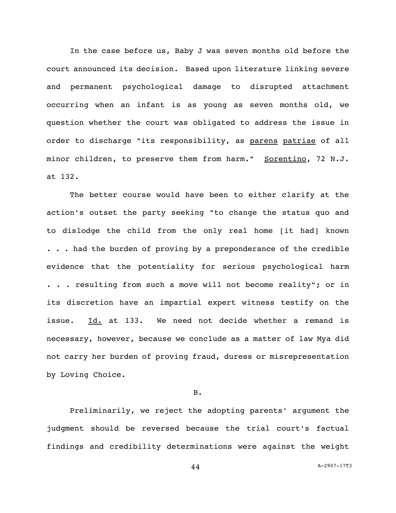In the case before us, Baby J was seven months old before the court announced its decision. Based upon literature linking severe and permanent psychological damage to disrupted attachment occurring when an infant is as young as seven months old, we question whether the court was obligated to address the issue in order to discharge "its responsibility, as parens patriae of all minor children, to preserve them from harm." Sorentino, 72 N.J. at 132.

The better course would have been to either clarify at the action's outset the party seeking "to change the status quo and to dislodge the child from the only real home [it had] known ... had the burden of proving by a preponderance of the credible evidence that the potentiality for serious psychological harm . . . resulting from such a move will not become reality"; or in its discretion have an impartial expert witness testify on the issue. Id. at 133. We need not decide whether a remand is necessary, however, because we conclude as a matter of law Mya did not carry her burden of proving fraud, duress or misrepresentation by Loving Choice.

# B.

Preliminarily, we reject the adopting parents' argument the judgment should be reversed because the trial court's factual findings and credibility determinations were against the weight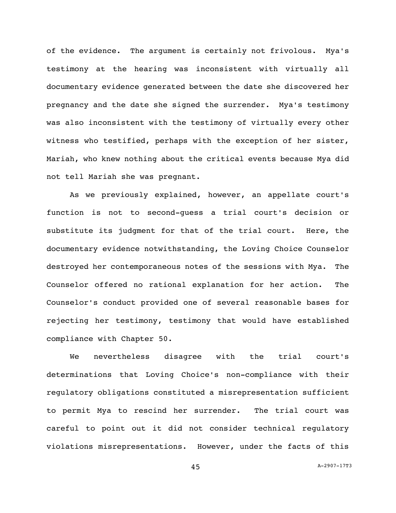of the evidence. The argument is certainly not frivolous. Mya's testimony at the hearing was inconsistent with virtually all documentary evidence generated between the date she discovered her pregnancy and the date she signed the surrender. Mya's testimony was also inconsistent with the testimony of virtually every other witness who testified, perhaps with the exception of her sister, Mariah, who knew nothing about the critical events because Mya did not tell Mariah she was pregnant.

As we previously explained, however, an appellate court's function is not to second-guess a trial court's decision or substitute its judgment for that of the trial court. Here, the documentary evidence notwithstanding, the Loving Choice Counselor destroyed her contemporaneous notes of the sessions with Mya. The Counselor offered no rational explanation for her action. The Counselor's conduct provided one of several reasonable bases for rejecting her testimony, testimony that would have established compliance with Chapter 50.

We nevertheless disagree with the trial court's determinations that Loving Choice's non-compliance with their regulatory obligations constituted a misrepresentation sufficient to permit Mya to rescind her surrender. The trial court was careful to point out it did not consider technical regulatory violations misrepresentations. However, under the facts of this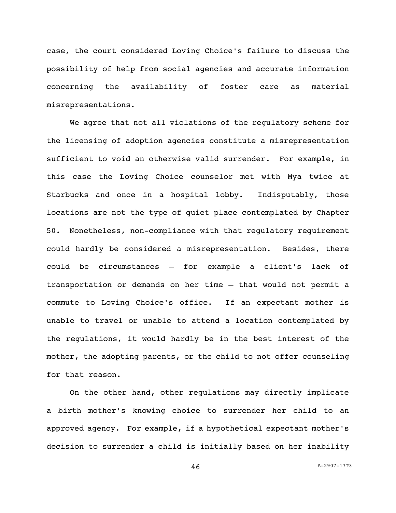case, the court considered Loving Choice's failure to discuss the possibility of help from social agencies and accurate information concerning the availability of foster care as material misrepresentations.

We agree that not all violations of the regulatory scheme for the licensing of adoption agencies constitute a misrepresentation sufficient to void an otherwise valid surrender. For example, in this case the Loving Choice counselor met with Mya twice at Starbucks and once in a hospital lobby. Indisputably, those locations are not the type of quiet place contemplated by Chapter 50. Nonetheless, non-compliance with that regulatory requirement could hardly be considered a misrepresentation. Besides, there could be circumstances – for example a client's lack of transportation or demands on her time – that would not permit a commute to Loving Choice's office. If an expectant mother is unable to travel or unable to attend a location contemplated by the regulations, it would hardly be in the best interest of the mother, the adopting parents, or the child to not offer counseling for that reason.

On the other hand, other regulations may directly implicate a birth mother's knowing choice to surrender her child to an approved agency. For example, if a hypothetical expectant mother's decision to surrender a child is initially based on her inability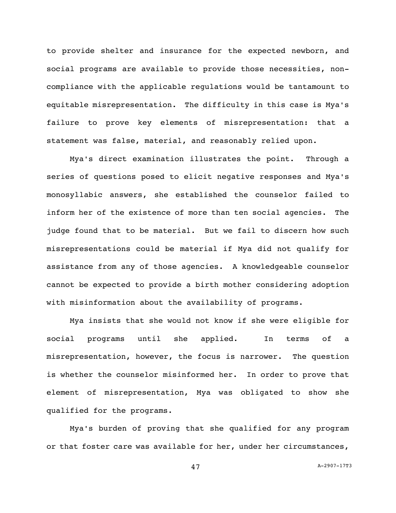to provide shelter and insurance for the expected newborn, and social programs are available to provide those necessities, noncompliance with the applicable regulations would be tantamount to equitable misrepresentation. The difficulty in this case is Mya's failure to prove key elements of misrepresentation: that a statement was false, material, and reasonably relied upon.

Mya's direct examination illustrates the point. Through a series of questions posed to elicit negative responses and Mya's monosyllabic answers, she established the counselor failed to inform her of the existence of more than ten social agencies. The judge found that to be material. But we fail to discern how such misrepresentations could be material if Mya did not qualify for assistance from any of those agencies. A knowledgeable counselor cannot be expected to provide a birth mother considering adoption with misinformation about the availability of programs.

Mya insists that she would not know if she were eligible for social programs until she applied. In terms of a misrepresentation, however, the focus is narrower. The question is whether the counselor misinformed her. In order to prove that element of misrepresentation, Mya was obligated to show she qualified for the programs.

Mya's burden of proving that she qualified for any program or that foster care was available for her, under her circumstances,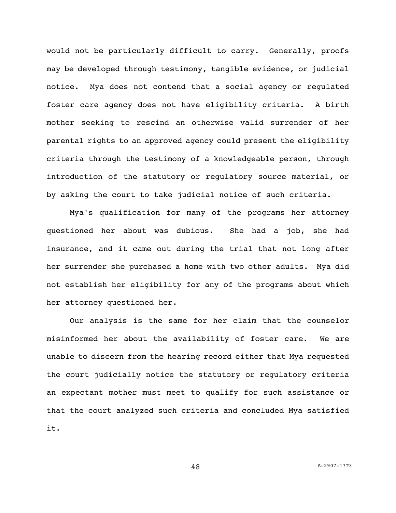would not be particularly difficult to carry. Generally, proofs may be developed through testimony, tangible evidence, or judicial notice. Mya does not contend that a social agency or regulated foster care agency does not have eligibility criteria. A birth mother seeking to rescind an otherwise valid surrender of her parental rights to an approved agency could present the eligibility criteria through the testimony of a knowledgeable person, through introduction of the statutory or regulatory source material, or by asking the court to take judicial notice of such criteria.

Mya's qualification for many of the programs her attorney questioned her about was dubious. She had a job, she had insurance, and it came out during the trial that not long after her surrender she purchased a home with two other adults. Mya did not establish her eligibility for any of the programs about which her attorney questioned her.

Our analysis is the same for her claim that the counselor misinformed her about the availability of foster care. We are unable to discern from the hearing record either that Mya requested the court judicially notice the statutory or regulatory criteria an expectant mother must meet to qualify for such assistance or that the court analyzed such criteria and concluded Mya satisfied it.